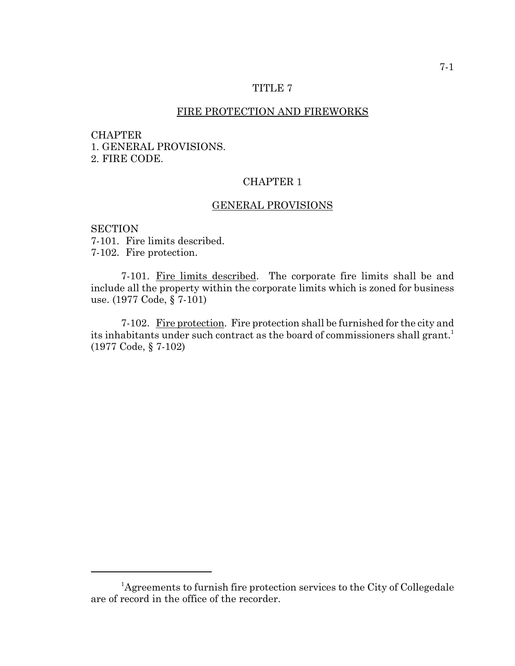### TITLE 7

### FIRE PROTECTION AND FIREWORKS

#### CHAPTER

1. GENERAL PROVISIONS. 2. FIRE CODE.

# CHAPTER 1

#### GENERAL PROVISIONS

**SECTION** 7-101. Fire limits described. 7-102. Fire protection.

7-101. Fire limits described. The corporate fire limits shall be and include all the property within the corporate limits which is zoned for business use. (1977 Code, § 7-101)

7-102. Fire protection. Fire protection shall be furnished for the city and its inhabitants under such contract as the board of commissioners shall grant.<sup>1</sup> (1977 Code, § 7-102)

<sup>&</sup>lt;sup>1</sup>Agreements to furnish fire protection services to the City of Collegedale are of record in the office of the recorder.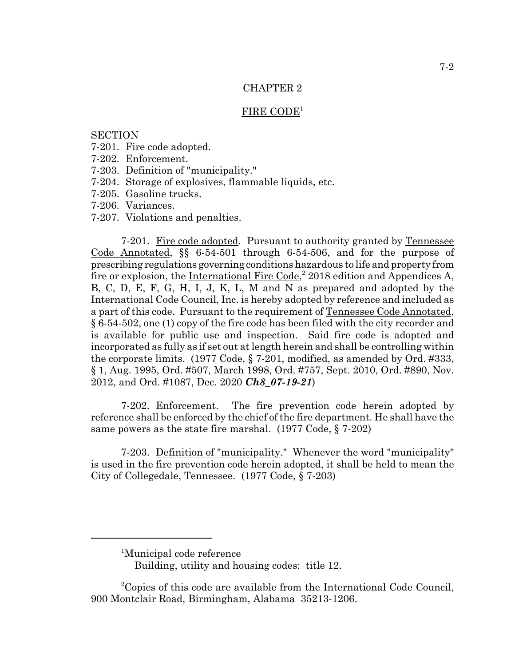## CHAPTER 2

#### FIRE CODE<sup>1</sup>

### **SECTION**

- 7-201. Fire code adopted.
- 7-202. Enforcement.
- 7-203. Definition of "municipality."
- 7-204. Storage of explosives, flammable liquids, etc.
- 7-205. Gasoline trucks.
- 7-206. Variances.
- 7-207. Violations and penalties.

7-201. Fire code adopted. Pursuant to authority granted by Tennessee Code Annotated, §§ 6-54-501 through 6-54-506, and for the purpose of prescribing regulations governing conditions hazardous to life and property from fire or explosion, the International Fire Code,<sup>2</sup> 2018 edition and Appendices A, B, C, D, E, F, G, H, I, J, K, L, M and N as prepared and adopted by the International Code Council, Inc. is hereby adopted by reference and included as a part of this code. Pursuant to the requirement of Tennessee Code Annotated, § 6-54-502, one (1) copy of the fire code has been filed with the city recorder and is available for public use and inspection. Said fire code is adopted and incorporated as fully as if set out at length herein and shall be controlling within the corporate limits. (1977 Code, § 7-201, modified, as amended by Ord. #333, § 1, Aug. 1995, Ord. #507, March 1998, Ord. #757, Sept. 2010, Ord. #890, Nov. 2012, and Ord. #1087, Dec. 2020 *Ch8\_07-19-21*)

7-202. Enforcement. The fire prevention code herein adopted by reference shall be enforced by the chief of the fire department. He shall have the same powers as the state fire marshal. (1977 Code, § 7-202)

7-203. Definition of "municipality." Whenever the word "municipality" is used in the fire prevention code herein adopted, it shall be held to mean the City of Collegedale, Tennessee. (1977 Code, § 7-203)

<sup>&</sup>lt;sup>1</sup>Municipal code reference

Building, utility and housing codes: title 12.

<sup>&</sup>lt;sup>2</sup>Copies of this code are available from the International Code Council, 900 Montclair Road, Birmingham, Alabama 35213-1206.